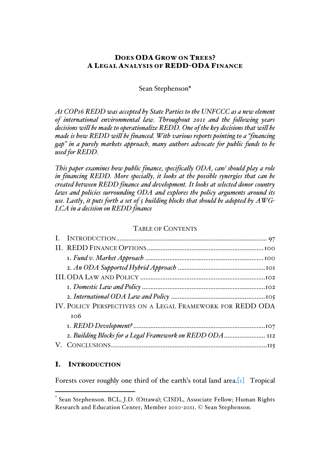# DOES ODA GROW ON TREES? A LEGAL ANALYSIS OF REDD-ODA FINANCE

Sean Stephenson\*

*At COP16 REDD was accepted by State Parties to the UNFCCC as a new element of international environmental law. Throughout 2011 and the following years decisions will be made to operationalize REDD. One of the key decisions that will be made is how REDD will be financed. With various reports pointing to a "financing gap" in a purely markets approach, many authors advocate for public funds to be used for REDD.*

*This paper examines how public finance, specifically ODA, can/ should play a role in financing REDD. More specially, it looks at the possible synergies that can be created between REDD finance and development. It looks at selected donor country laws and policies surrounding ODA and explores the policy arguments around its use. Lastly, it puts forth a set of 5 building blocks that should be adopted by AWG-LCA in a decision on REDD finance*

### TABLE OF CONTENTS

| $I. \, Fund\,v. \,Market\, Approach \, 3.2012$            |  |
|-----------------------------------------------------------|--|
|                                                           |  |
|                                                           |  |
|                                                           |  |
|                                                           |  |
| IV. POLICY PERSPECTIVES ON A LEGAL FRAMEWORK FOR REDD ODA |  |
| 106                                                       |  |
|                                                           |  |
| 2. Building Blocks for a Legal Framework on REDD ODA 112  |  |
|                                                           |  |

# I. INTRODUCTION

<u>.</u>

Forests cover roughly one third of the earth's total land area.<sup>[1]</sup> Tropical

Sean Stephenson. BCL, J.D. (Ottawa); CISDL, Associate Fellow; Human Rights Research and Education Center, Member 2010-2011. © Sean Stephenson.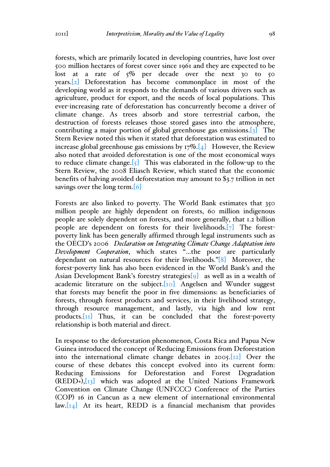forests, which are primarily located in developing countries, have lost over 500 million hectares of forest cover since 1961 and they are expected to be lost at a rate of  $5\%$  per decade over the next 30 to 50 years.[2] Deforestation has become commonplace in most of the developing world as it responds to the demands of various drivers such as agriculture, product for export, and the needs of local populations. This ever-increasing rate of deforestation has concurrently become a driver of climate change. As trees absorb and store terrestrial carbon, the destruction of forests releases those stored gases into the atmosphere, contributing a major portion of global greenhouse gas emissions.[3] The Stern Review noted this when it stated that deforestation was estimated to increase global greenhouse gas emissions by  $17\%$ . [4] However, the Review also noted that avoided deforestation is one of the most economical ways to reduce climate change.  $\left[\frac{1}{5}\right]$  This was elaborated in the follow-up to the Stern Review, the 2008 Eliasch Review, which stated that the economic benefits of halving avoided deforestation may amount to \$3.7 trillion in net savings over the long term. [6]

Forests are also linked to poverty. The World Bank estimates that 350 million people are highly dependent on forests, 60 million indigenous people are solely dependent on forests, and more generally, that 1.2 billion people are dependent on forests for their livelihoods.[7] The forestpoverty link has been generally affirmed through legal instruments such as the OECD's 2006 *Declaration on Integrating Climate Change Adaptation into Development Cooperation*, which states "…the poor are particularly dependant on natural resources for their livelihoods."[8] Moreover, the forest-poverty link has also been evidenced in the World Bank's and the Asian Development Bank's forestry strategies[9] as well as in a wealth of academic literature on the subject.<sup>[10]</sup> Angelsen and Wunder suggest that forests may benefit the poor in five dimensions: as beneficiaries of forests, through forest products and services, in their livelihood strategy, through resource management, and lastly, via high and low rent products.[11] Thus, it can be concluded that the forest-poverty relationship is both material and direct.

In response to the deforestation phenomenon, Costa Rica and Papua New Guinea introduced the concept of Reducing Emissions from Deforestation into the international climate change debates in 2005.[12] Over the course of these debates this concept evolved into its current form: Reducing Emissions for Deforestation and Forest Degradation  $(REDD<sub>+</sub>), [13]$  which was adopted at the United Nations Framework Convention on Climate Change (UNFCCC) Conference of the Parties (COP) 16 in Cancun as a new element of international environmental  $\lceil \log_2 \lfloor 14 \rfloor$  At its heart, REDD is a financial mechanism that provides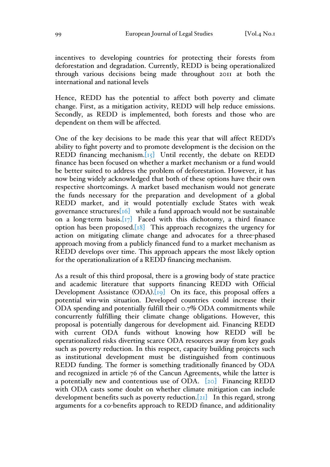incentives to developing countries for protecting their forests from deforestation and degradation. Currently, REDD is being operationalized through various decisions being made throughout 2011 at both the international and national levels

Hence, REDD has the potential to affect both poverty and climate change. First, as a mitigation activity, REDD will help reduce emissions. Secondly, as REDD is implemented, both forests and those who are dependent on them will be affected.

One of the key decisions to be made this year that will affect REDD's ability to fight poverty and to promote development is the decision on the REDD financing mechanism. $[r<sub>5</sub>]$  Until recently, the debate on REDD finance has been focused on whether a market mechanism or a fund would be better suited to address the problem of deforestation. However, it has now being widely acknowledged that both of these options have their own respective shortcomings. A market based mechanism would not generate the funds necessary for the preparation and development of a global REDD market, and it would potentially exclude States with weak governance structures  $\begin{bmatrix} 16 \end{bmatrix}$  while a fund approach would not be sustainable on a long-term basis.  $[r_7]$  Faced with this dichotomy, a third finance option has been proposed. $[18]$  This approach recognizes the urgency for action on mitigating climate change and advocates for a three-phased approach moving from a publicly financed fund to a market mechanism as REDD develops over time. This approach appears the most likely option for the operationalization of a REDD financing mechanism.

As a result of this third proposal, there is a growing body of state practice and academic literature that supports financing REDD with Official Development Assistance (ODA).<sup>[19]</sup> On its face, this proposal offers a potential win-win situation. Developed countries could increase their ODA spending and potentially fulfill their 0.7% ODA commitments while concurrently fulfilling their climate change obligations. However, this proposal is potentially dangerous for development aid. Financing REDD with current ODA funds without knowing how REDD will be operationalized risks diverting scarce ODA resources away from key goals such as poverty reduction. In this respect, capacity building projects such as institutional development must be distinguished from continuous REDD funding. The former is something traditionally financed by ODA and recognized in article 76 of the Cancun Agreements, while the latter is a potentially new and contentious use of ODA. [20] Financing REDD with ODA casts some doubt on whether climate mitigation can include development benefits such as poverty reduction. [21] In this regard, strong arguments for a co-benefits approach to REDD finance, and additionality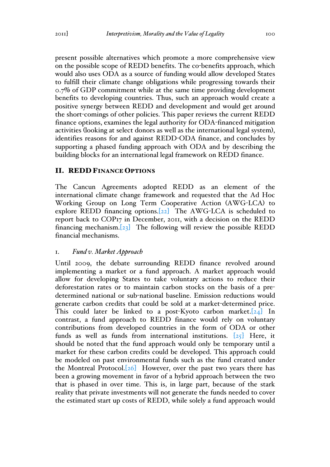present possible alternatives which promote a more comprehensive view on the possible scope of REDD benefits. The co-benefits approach, which would also uses ODA as a source of funding would allow developed States to fulfill their climate change obligations while progressing towards their 0.7% of GDP commitment while at the same time providing development benefits to developing countries. Thus, such an approach would create a positive synergy between REDD and development and would get around the short-comings of other policies. This paper reviews the current REDD finance options, examines the legal authority for ODA-financed mitigation activities (looking at select donors as well as the international legal system), identifies reasons for and against REDD-ODA finance, and concludes by supporting a phased funding approach with ODA and by describing the building blocks for an international legal framework on REDD finance.

### II. REDD FINANCE OPTIONS

The Cancun Agreements adopted REDD as an element of the international climate change framework and requested that the Ad Hoc Working Group on Long Term Cooperative Action (AWG-LCA) to explore REDD financing options.[22] The AWG-LCA is scheduled to report back to COP17 in December, 2011, with a decision on the REDD financing mechanism.[23] The following will review the possible REDD financial mechanisms.

### 1. *Fund v. Market Approach*

Until 2009, the debate surrounding REDD finance revolved around implementing a market or a fund approach. A market approach would allow for developing States to take voluntary actions to reduce their deforestation rates or to maintain carbon stocks on the basis of a predetermined national or sub-national baseline. Emission reductions would generate carbon credits that could be sold at a market-determined price. This could later be linked to a post-Kyoto carbon market.  $[24]$  In contrast, a fund approach to REDD finance would rely on voluntary contributions from developed countries in the form of ODA or other funds as well as funds from international institutions.  $[25]$  Here, it should be noted that the fund approach would only be temporary until a market for these carbon credits could be developed. This approach could be modeled on past environmental funds such as the fund created under the Montreal Protocol. $[26]$  However, over the past two years there has been a growing movement in favor of a hybrid approach between the two that is phased in over time. This is, in large part, because of the stark reality that private investments will not generate the funds needed to cover the estimated start up costs of REDD, while solely a fund approach would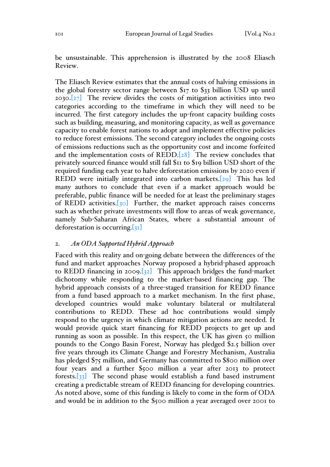be unsustainable. This apprehension is illustrated by the 2008 Eliasch Review.

The Eliasch Review estimates that the annual costs of halving emissions in the global forestry sector range between \$17 to \$33 billion USD up until 2030. $[27]$  The review divides the costs of mitigation activities into two categories according to the timeframe in which they will need to be incurred. The first category includes the up-front capacity building costs such as building, measuring, and monitoring capacity, as well as governance capacity to enable forest nations to adopt and implement effective policies to reduce forest emissions. The second category includes the ongoing costs of emissions reductions such as the opportunity cost and income forfeited and the implementation costs of REDD.[28] The review concludes that privately sourced finance would still fall \$11 to \$19 billion USD short of the required funding each year to halve deforestation emissions by 2020 even if REDD were initially integrated into carbon markets.[29] This has led many authors to conclude that even if a market approach would be preferable, public finance will be needed for at least the preliminary stages of REDD activities. $\sqrt{30}$  Further, the market approach raises concerns such as whether private investments will flow to areas of weak governance, namely Sub-Saharan African States, where a substantial amount of deforestation is occurring.[31]

#### 2. *An ODA Supported Hybrid Approach*

Faced with this reality and on-going debate between the differences of the fund and market approaches Norway proposed a hybrid-phased approach to REDD financing in 2009. $[32]$  This approach bridges the fund-market dichotomy while responding to the market-based financing gap. The hybrid approach consists of a three-staged transition for REDD finance from a fund based approach to a market mechanism. In the first phase, developed countries would make voluntary bilateral or multilateral contributions to REDD. These ad hoc contributions would simply respond to the urgency in which climate mitigation actions are needed. It would provide quick start financing for REDD projects to get up and running as soon as possible. In this respect, the UK has given 50 million pounds to the Congo Basin Forest, Norway has pledged \$2.5 billion over five years through its Climate Change and Forestry Mechanism, Australia has pledged \$75 million, and Germany has committed to \$800 million over four years and a further \$500 million a year after 2013 to protect forests. $\begin{bmatrix} 33 \end{bmatrix}$  The second phase would establish a fund based instrument creating a predictable stream of REDD financing for developing countries. As noted above, some of this funding is likely to come in the form of ODA and would be in addition to the \$500 million a year averaged over 2001 to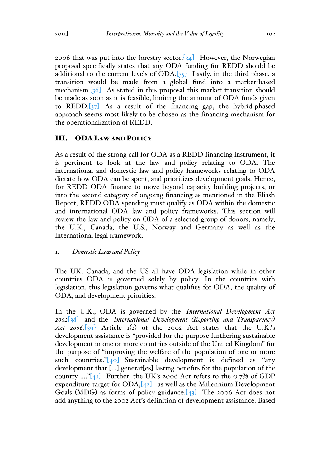2006 that was put into the forestry sector.  $[34]$  However, the Norwegian proposal specifically states that any ODA funding for REDD should be additional to the current levels of  $ODA. [35]$  Lastly, in the third phase, a transition would be made from a global fund into a market-based mechanism.[36] As stated in this proposal this market transition should be made as soon as it is feasible, limiting the amount of ODA funds given to  $REDD.[37]$  As a result of the financing gap, the hybrid-phased approach seems most likely to be chosen as the financing mechanism for the operationalization of REDD.

### III. ODA LAW AND POLICY

As a result of the strong call for ODA as a REDD financing instrument, it is pertinent to look at the law and policy relating to ODA. The international and domestic law and policy frameworks relating to ODA dictate how ODA can be spent, and prioritizes development goals. Hence, for REDD ODA finance to move beyond capacity building projects, or into the second category of ongoing financing as mentioned in the Eliash Report, REDD ODA spending must qualify as ODA within the domestic and international ODA law and policy frameworks. This section will review the law and policy on ODA of a selected group of donors, namely, the U.K., Canada, the U.S., Norway and Germany as well as the international legal framework.

### 1. *Domestic Law and Policy*

The UK, Canada, and the US all have ODA legislation while in other countries ODA is governed solely by policy. In the countries with legislation, this legislation governs what qualifies for ODA, the quality of ODA, and development priorities.

In the U.K., ODA is governed by the *International Development Act 2002*[38] and the *International Development (Reporting and Transparency) Act 2006*.[39] Article  $I(2)$  of the 2002 Act states that the U.K.'s development assistance is "provided for the purpose furthering sustainable development in one or more countries outside of the United Kingdom" for the purpose of "improving the welfare of the population of one or more such countries." $[40]$  Sustainable development is defined as "any development that […] generat[es] lasting benefits for the population of the country ...." $[41]$  Further, the UK's 2006 Act refers to the 0.7% of GDP expenditure target for  $ODA, [42]$  as well as the Millennium Development Goals (MDG) as forms of policy guidance.  $[43]$  The 2006 Act does not add anything to the 2002 Act's definition of development assistance. Based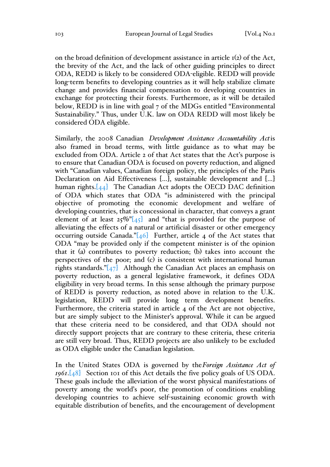on the broad definition of development assistance in article 1(2) of the Act, the brevity of the Act, and the lack of other guiding principles to direct ODA, REDD is likely to be considered ODA-eligible. REDD will provide long-term benefits to developing countries as it will help stabilize climate change and provides financial compensation to developing countries in exchange for protecting their forests. Furthermore, as it will be detailed below, REDD is in line with goal 7 of the MDGs entitled "Environmental Sustainability." Thus, under U.K. law on ODA REDD will most likely be considered ODA eligible.

Similarly, the 2008 Canadian *Development Assistance Accountability Act*is also framed in broad terms, with little guidance as to what may be excluded from ODA. Article 2 of that Act states that the Act's purpose is to ensure that Canadian ODA is focused on poverty reduction, and aligned with "Canadian values, Canadian foreign policy, the principles of the Paris Declaration on Aid Effectiveness […], sustainable development and […] human rights.<sup>[44]</sup> The Canadian Act adopts the OECD DAC definition of ODA which states that ODA "is administered with the principal objective of promoting the economic development and welfare of developing countries, that is concessional in character, that conveys a grant element of at least  $25\%$ <sup>"[45]</sup> and "that is provided for the purpose of alleviating the effects of a natural or artificial disaster or other emergency occurring outside Canada." $[46]$  Further, article 4 of the Act states that ODA "may be provided only if the competent minister is of the opinion that it (a) contributes to poverty reduction; (b) takes into account the perspectives of the poor; and (c) is consistent with international human rights standards." $[47]$  Although the Canadian Act places an emphasis on poverty reduction, as a general legislative framework, it defines ODA eligibility in very broad terms. In this sense although the primary purpose of REDD is poverty reduction, as noted above in relation to the U.K. legislation, REDD will provide long term development benefits. Furthermore, the criteria stated in article 4 of the Act are not objective, but are simply subject to the Minister's approval. While it can be argued that these criteria need to be considered, and that ODA should not directly support projects that are contrary to these criteria, these criteria are still very broad. Thus, REDD projects are also unlikely to be excluded as ODA eligible under the Canadian legislation.

In the United States ODA is governed by the*Foreign Assistance Act of 1961*.[48] Section 101 of this Act details the five policy goals of US ODA. These goals include the alleviation of the worst physical manifestations of poverty among the world's poor, the promotion of conditions enabling developing countries to achieve self-sustaining economic growth with equitable distribution of benefits, and the encouragement of development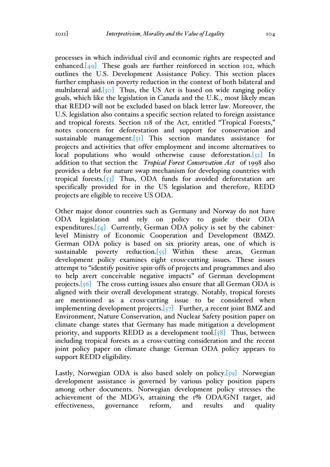processes in which individual civil and economic rights are respected and enhanced. $[49]$  These goals are further reinforced in section 102, which outlines the U.S. Development Assistance Policy. This section places further emphasis on poverty reduction in the context of both bilateral and multilateral aid. $[50]$  Thus, the US Act is based on wide ranging policy goals, which like the legislation in Canada and the U.K., most likely mean that REDD will not be excluded based on black letter law. Moreover, the U.S. legislation also contains a specific section related to foreign assistance and tropical forests. Section 118 of the Act, entitled "Tropical Forests," notes concern for deforestation and support for conservation and sustainable management. $[\varsigma_1]$  This section mandates assistance for projects and activities that offer employment and income alternatives to local populations who would otherwise cause deforestation. $[52]$  In addition to that section the *Tropical Forest Conservation Act* of 1998 also provides a debt for nature swap mechanism for developing countries with tropical forests.[53] Thus, ODA funds for avoided deforestation are specifically provided for in the US legislation and therefore, REDD projects are eligible to receive US ODA.

Other major donor countries such as Germany and Norway do not have ODA legislation and rely on policy to guide their ODA expenditures. $[54]$  Currently, German ODA policy is set by the cabinetlevel Ministry of Economic Cooperation and Development (BMZ). German ODA policy is based on six priority areas, one of which is sustainable poverty reduction. $[55]$  Within these areas, German development policy examines eight cross-cutting issues. These issues attempt to "identify positive spin-offs of projects and programmes and also to help avert conceivable negative impacts" of German development projects.[56] The cross cutting issues also ensure that all German ODA is aligned with their overall development strategy. Notably, tropical forests are mentioned as a cross-cutting issue to be considered when implementing development projects. $\overline{57}$  Further, a recent joint BMZ and Environment, Nature Conservation, and Nuclear Safety position paper on climate change states that Germany has made mitigation a development priority, and supports REDD as a development tool. $\{58\}$  Thus, between including tropical forests as a cross-cutting consideration and the recent joint policy paper on climate change German ODA policy appears to support REDD eligibility.

Lastly, Norwegian ODA is also based solely on policy. $\lceil 59 \rceil$  Norwegian development assistance is governed by various policy position papers among other documents. Norwegian development policy stresses the achievement of the MDG's, attaining the 1% ODA/GNI target, aid effectiveness, governance reform, and results and quality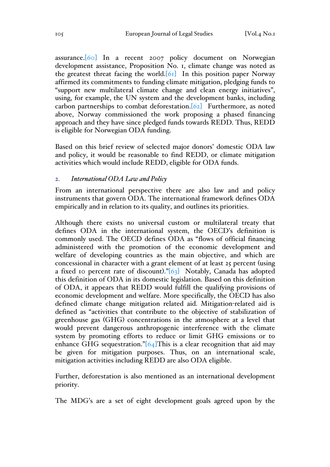assurance.[60] In a recent 2007 policy document on Norwegian development assistance, Proposition No. 1, climate change was noted as the greatest threat facing the world. $[61]$  In this position paper Norway affirmed its commitments to funding climate mitigation, pledging funds to "support new multilateral climate change and clean energy initiatives", using, for example, the UN system and the development banks, including carbon partnerships to combat deforestation.[62] Furthermore, as noted above, Norway commissioned the work proposing a phased financing approach and they have since pledged funds towards REDD. Thus, REDD is eligible for Norwegian ODA funding.

Based on this brief review of selected major donors' domestic ODA law and policy, it would be reasonable to find REDD, or climate mitigation activities which would include REDD, eligible for ODA funds.

### 2. *International ODA Law and Policy*

From an international perspective there are also law and and policy instruments that govern ODA. The international framework defines ODA empirically and in relation to its quality, and outlines its priorities.

Although there exists no universal custom or multilateral treaty that defines ODA in the international system, the OECD's definition is commonly used. The OECD defines ODA as "flows of official financing administered with the promotion of the economic development and welfare of developing countries as the main objective, and which are concessional in character with a grant element of at least 25 percent (using a fixed 10 percent rate of discount)." $[63]$  Notably, Canada has adopted this definition of ODA in its domestic legislation. Based on this definition of ODA, it appears that REDD would fulfill the qualifying provisions of economic development and welfare. More specifically, the OECD has also defined climate change mitigation related aid. Mitigation-related aid is defined as "activities that contribute to the objective of stabilization of greenhouse gas (GHG) concentrations in the atmosphere at a level that would prevent dangerous anthropogenic interference with the climate system by promoting efforts to reduce or limit GHG emissions or to enhance GHG sequestration." $[64]$ This is a clear recognition that aid may be given for mitigation purposes. Thus, on an international scale, mitigation activities including REDD are also ODA eligible.

Further, deforestation is also mentioned as an international development priority.

The MDG's are a set of eight development goals agreed upon by the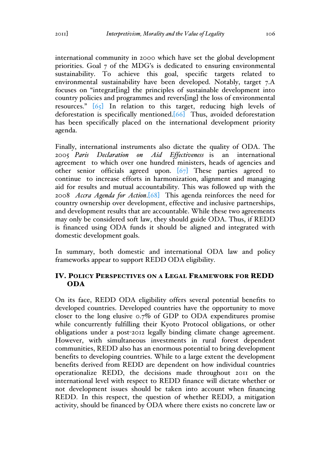international community in 2000 which have set the global development priorities. Goal 7 of the MDG's is dedicated to ensuring environmental sustainability. To achieve this goal, specific targets related to environmental sustainability have been developed. Notably, target 7.A focuses on "integrat[ing] the principles of sustainable development into country policies and programmes and revers[ing] the loss of environmental resources." [65] In relation to this target, reducing high levels of deforestation is specifically mentioned.[66] Thus, avoided deforestation has been specifically placed on the international development priority agenda.

Finally, international instruments also dictate the quality of ODA. The 2005 *Paris Declaration on Aid Effectiveness* is an international agreement to which over one hundred ministers, heads of agencies and other senior officials agreed upon. [67] These parties agreed to continue to increase efforts in harmonization, alignment and managing aid for results and mutual accountability. This was followed up with the 2008 *Accra Agenda for Action*.[68] This agenda reinforces the need for country ownership over development, effective and inclusive partnerships, and development results that are accountable. While these two agreements may only be considered soft law, they should guide ODA. Thus, if REDD is financed using ODA funds it should be aligned and integrated with domestic development goals.

In summary, both domestic and international ODA law and policy frameworks appear to support REDD ODA eligibility.

# IV. POLICY PERSPECTIVES ON A LEGAL FRAMEWORK FOR REDD ODA

On its face, REDD ODA eligibility offers several potential benefits to developed countries. Developed countries have the opportunity to move closer to the long elusive 0.7% of GDP to ODA expenditures promise while concurrently fulfilling their Kyoto Protocol obligations, or other obligations under a post-2012 legally binding climate change agreement. However, with simultaneous investments in rural forest dependent communities, REDD also has an enormous potential to bring development benefits to developing countries. While to a large extent the development benefits derived from REDD are dependent on how individual countries operationalize REDD, the decisions made throughout 2011 on the international level with respect to REDD finance will dictate whether or not development issues should be taken into account when financing REDD. In this respect, the question of whether REDD, a mitigation activity, should be financed by ODA where there exists no concrete law or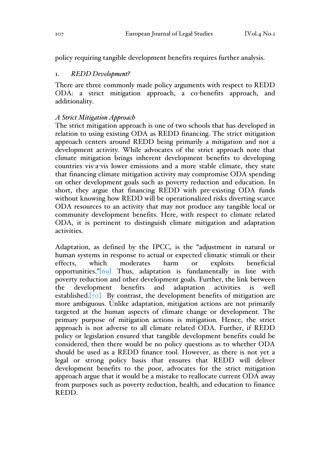policy requiring tangible development benefits requires further analysis.

### 1. *REDD Development?*

There are three commonly made policy arguments with respect to REDD ODA: a strict mitigation approach, a co-benefits approach, and additionality.

# *A Strict Mitigation Approach*

The strict mitigation approach is one of two schools that has developed in relation to using existing ODA as REDD financing. The strict mitigation approach centers around REDD being primarily a mitigation and not a development activity. While advocates of the strict approach note that climate mitigation brings inherent development benefits to developing countries vis-a-vis lower emissions and a more stable climate, they state that financing climate mitigation activity may compromise ODA spending on other development goals such as poverty reduction and education. In short, they argue that financing REDD with pre-existing ODA funds without knowing how REDD will be operationalized risks diverting scarce ODA resources to an activity that may not produce any tangible local or community development benefits. Here, with respect to climate related ODA, it is pertinent to distinguish climate mitigation and adaptation activities.

Adaptation, as defined by the IPCC, is the "adjustment in natural or human systems in response to actual or expected climatic stimuli or their effects, which moderates harm or exploits beneficial opportunities."[69] Thus, adaptation is fundamentally in line with poverty reduction and other development goals. Further, the link between the development benefits and adaptation activities is well established. $[70]$  By contrast, the development benefits of mitigation are more ambiguous. Unlike adaptation, mitigation actions are not primarily targeted at the human aspects of climate change or development. The primary purpose of mitigation actions is mitigation. Hence, the strict approach is not adverse to all climate related ODA. Further, if REDD policy or legislation ensured that tangible development benefits could be considered, then there would be no policy questions as to whether ODA should be used as a REDD finance tool. However, as there is not yet a legal or strong policy basis that ensures that REDD will deliver development benefits to the poor, advocates for the strict mitigation approach argue that it would be a mistake to reallocate current ODA away from purposes such as poverty reduction, health, and education to finance REDD.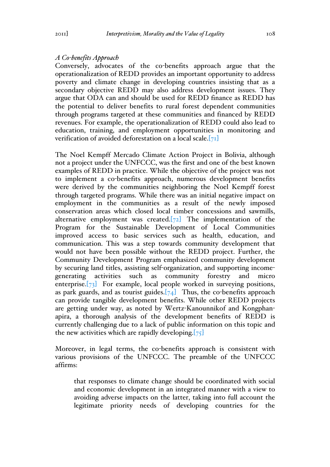### *A Co-benefits Approach*

Conversely, advocates of the co-benefits approach argue that the operationalization of REDD provides an important opportunity to address poverty and climate change in developing countries insisting that as a secondary objective REDD may also address development issues. They argue that ODA can and should be used for REDD finance as REDD has the potential to deliver benefits to rural forest dependent communities through programs targeted at these communities and financed by REDD revenues. For example, the operationalization of REDD could also lead to education, training, and employment opportunities in monitoring and verification of avoided deforestation on a local scale.  $[71]$ 

The Noel Kempff Mercado Climate Action Project in Bolivia, although not a project under the UNFCCC, was the first and one of the best known examples of REDD in practice. While the objective of the project was not to implement a co-benefits approach, numerous development benefits were derived by the communities neighboring the Noel Kempff forest through targeted programs. While there was an initial negative impact on employment in the communities as a result of the newly imposed conservation areas which closed local timber concessions and sawmills, alternative employment was created.[72] The implementation of the Program for the Sustainable Development of Local Communities improved access to basic services such as health, education, and communication. This was a step towards community development that would not have been possible without the REDD project. Further, the Community Development Program emphasized community development by securing land titles, assisting self-organization, and supporting incomegenerating activities such as community forestry and micro enterprise.[73] For example, local people worked in surveying positions, as park guards, and as tourist guides. $[74]$  Thus, the co-benefits approach can provide tangible development benefits. While other REDD projects are getting under way, as noted by Wertz-Kanounnikof and Kongphanapira, a thorough analysis of the development benefits of REDD is currently challenging due to a lack of public information on this topic and the new activities which are rapidly developing.  $[75]$ 

Moreover, in legal terms, the co-benefits approach is consistent with various provisions of the UNFCCC. The preamble of the UNFCCC affirms:

that responses to climate change should be coordinated with social and economic development in an integrated manner with a view to avoiding adverse impacts on the latter, taking into full account the legitimate priority needs of developing countries for the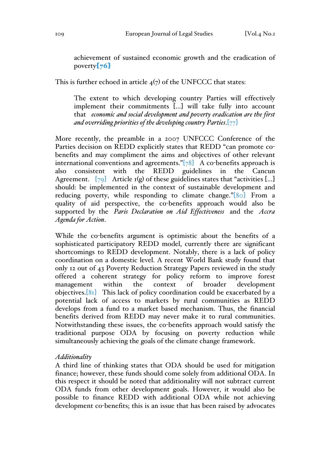achievement of sustained economic growth and the eradication of poverty $\left[76\right]$ 

This is further echoed in article  $4(7)$  of the UNFCCC that states:

The extent to which developing country Parties will effectively implement their commitments […] will take fully into account that *economic and social development and poverty eradication are the first and overriding priorities of the developing country Parties*.[77]

More recently, the preamble in a 2007 UNFCCC Conference of the Parties decision on REDD explicitly states that REDD "can promote cobenefits and may compliment the aims and objectives of other relevant international conventions and agreements." $[78]$  A co-benefits approach is also consistent with the REDD guidelines in the Cancun Agreement.  $\overline{[79]}$  Article 1(g) of these guidelines states that "activities [...] should: be implemented in the context of sustainable development and reducing poverty, while responding to climate change."[80] From a quality of aid perspective, the co-benefits approach would also be supported by the *Paris Declaration on Aid Effectiveness* and the *Accra Agenda for Action*.

While the co-benefits argument is optimistic about the benefits of a sophisticated participatory REDD model, currently there are significant shortcomings to REDD development. Notably, there is a lack of policy coordination on a domestic level. A recent World Bank study found that only 12 out of 43 Poverty Reduction Strategy Papers reviewed in the study offered a coherent strategy for policy reform to improve forest management within the context of broader development objectives.[81] This lack of policy coordination could be exacerbated by a potential lack of access to markets by rural communities as REDD develops from a fund to a market based mechanism. Thus, the financial benefits derived from REDD may never make it to rural communities. Notwithstanding these issues, the co-benefits approach would satisfy the traditional purpose ODA by focusing on poverty reduction while simultaneously achieving the goals of the climate change framework.

### *Additionality*

A third line of thinking states that ODA should be used for mitigation finance; however, these funds should come solely from additional ODA. In this respect it should be noted that additionality will not subtract current ODA funds from other development goals. However, it would also be possible to finance REDD with additional ODA while not achieving development co-benefits; this is an issue that has been raised by advocates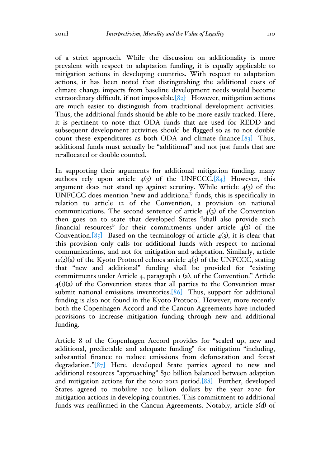of a strict approach. While the discussion on additionality is more prevalent with respect to adaptation funding, it is equally applicable to mitigation actions in developing countries. With respect to adaptation actions, it has been noted that distinguishing the additional costs of climate change impacts from baseline development needs would become extraordinary difficult, if not impossible. $[82]$  However, mitigation actions are much easier to distinguish from traditional development activities. Thus, the additional funds should be able to be more easily tracked. Here, it is pertinent to note that ODA funds that are used for REDD and subsequent development activities should be flagged so as to not double count these expenditures as both ODA and climate finance. $[83]$  Thus, additional funds must actually be "additional" and not just funds that are re-allocated or double counted.

In supporting their arguments for additional mitigation funding, many authors rely upon article  $4(3)$  of the UNFCCC.[84] However, this argument does not stand up against scrutiny. While article  $\phi$  4(3) of the UNFCCC does mention "new and additional" funds, this is specifically in relation to article 12 of the Convention, a provision on national communications. The second sentence of article  $4(3)$  of the Convention then goes on to state that developed States "shall also provide such financial resources" for their commitments under article  $\mathfrak{q}(I)$  of the Convention.[85] Based on the terminology of article  $4(3)$ , it is clear that this provision only calls for additional funds with respect to national communications, and not for mitigation and adaptation. Similarly, article  $11(2)(a)$  of the Kyoto Protocol echoes article  $4(3)$  of the UNFCCC, stating that "new and additional" funding shall be provided for "existing commitments under Article 4, paragraph 1 (a), of the Convention." Article  $4(I)(a)$  of the Convention states that all parties to the Convention must submit national emissions inventories.[86] Thus, support for additional funding is also not found in the Kyoto Protocol. However, more recently both the Copenhagen Accord and the Cancun Agreements have included provisions to increase mitigation funding through new and additional funding.

Article 8 of the Copenhagen Accord provides for "scaled up, new and additional, predictable and adequate funding" for mitigation "including, substantial finance to reduce emissions from deforestation and forest degradation."[87] Here, developed State parties agreed to new and additional resources "approaching" \$30 billion balanced between adaption and mitigation actions for the 2010-2012 period.[88] Further, developed States agreed to mobilize 100 billion dollars by the year 2020 for mitigation actions in developing countries. This commitment to additional funds was reaffirmed in the Cancun Agreements. Notably, article 2(d) of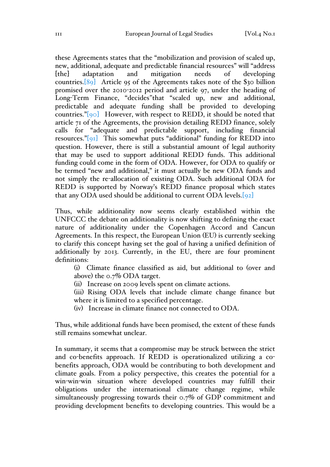these Agreements states that the "mobilization and provision of scaled up, new, additional, adequate and predictable financial resources" will "address [the] adaptation and mitigation needs of developing countries.[89] Article 95 of the Agreements takes note of the \$30 billion promised over the 2010-2012 period and article 97, under the heading of Long-Term Finance, "decides*"*that "scaled up, new and additional, predictable and adequate funding shall be provided to developing countries." $[90]$  However, with respect to REDD, it should be noted that article 71 of the Agreements, the provision detailing REDD finance, solely calls for "adequate and predictable support, including financial resources."[91] This somewhat puts "additional" funding for REDD into question. However, there is still a substantial amount of legal authority that may be used to support additional REDD funds. This additional funding could come in the form of ODA. However, for ODA to qualify or be termed "new and additional," it must actually be new ODA funds and not simply the re-allocation of existing ODA. Such additional ODA for REDD is supported by Norway's REDD finance proposal which states that any ODA used should be additional to current ODA levels.  $[92]$ 

Thus, while additionality now seems clearly established within the UNFCCC the debate on additionality is now shifting to defining the exact nature of additionality under the Copenhagen Accord and Cancun Agreements. In this respect, the European Union (EU) is currently seeking to clarify this concept having set the goal of having a unified definition of additionally by 2013. Currently, in the EU, there are four prominent definitions:

(i) Climate finance classified as aid, but additional to (over and above) the 0.7% ODA target.

(ii) Increase on 2009 levels spent on climate actions.

(iii) Rising ODA levels that include climate change finance but where it is limited to a specified percentage.

(iv) Increase in climate finance not connected to ODA.

Thus, while additional funds have been promised, the extent of these funds still remains somewhat unclear.

In summary, it seems that a compromise may be struck between the strict and co-benefits approach. If REDD is operationalized utilizing a cobenefits approach, ODA would be contributing to both development and climate goals. From a policy perspective, this creates the potential for a win-win-win situation where developed countries may fulfill their obligations under the international climate change regime, while simultaneously progressing towards their 0.7% of GDP commitment and providing development benefits to developing countries. This would be a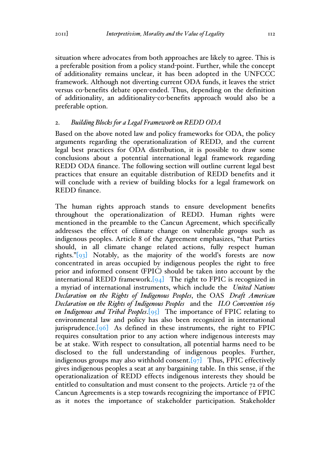situation where advocates from both approaches are likely to agree. This is a preferable position from a policy stand-point. Further, while the concept of additionality remains unclear, it has been adopted in the UNFCCC framework. Although not diverting current ODA funds, it leaves the strict versus co-benefits debate open-ended. Thus, depending on the definition of additionality, an additionality-co-benefits approach would also be a preferable option.

#### 2. *Building Blocks for a Legal Framework on REDD ODA*

Based on the above noted law and policy frameworks for ODA, the policy arguments regarding the operationalization of REDD, and the current legal best practices for ODA distribution, it is possible to draw some conclusions about a potential international legal framework regarding REDD ODA finance. The following section will outline current legal best practices that ensure an equitable distribution of REDD benefits and it will conclude with a review of building blocks for a legal framework on REDD finance.

The human rights approach stands to ensure development benefits throughout the operationalization of REDD. Human rights were mentioned in the preamble to the Cancun Agreement, which specifically addresses the effect of climate change on vulnerable groups such as indigenous peoples. Article 8 of the Agreement emphasizes, "that Parties should, in all climate change related actions, fully respect human rights."[93] Notably, as the majority of the world's forests are now concentrated in areas occupied by indigenous peoples the right to free prior and informed consent (FPIC) should be taken into account by the international REDD framework. $[94]$  The right to FPIC is recognized in a myriad of international instruments, which include the *United Nations Declaration on the Rights of Indigenous Peoples*, the OAS *Draft American Declaration on the Rights of Indigenous Peoples* and the *ILO Convention 169 on Indigenous and Tribal Peoples*.[95] The importance of FPIC relating to environmental law and policy has also been recognized in international jurisprudence. $[96]$  As defined in these instruments, the right to FPIC requires consultation prior to any action where indigenous interests may be at stake. With respect to consultation, all potential harms need to be disclosed to the full understanding of indigenous peoples. Further, indigenous groups may also withhold consent.  $\left[97\right]$  Thus, FPIC effectively gives indigenous peoples a seat at any bargaining table. In this sense, if the operationalization of REDD effects indigenous interests they should be entitled to consultation and must consent to the projects. Article 72 of the Cancun Agreements is a step towards recognizing the importance of FPIC as it notes the importance of stakeholder participation. Stakeholder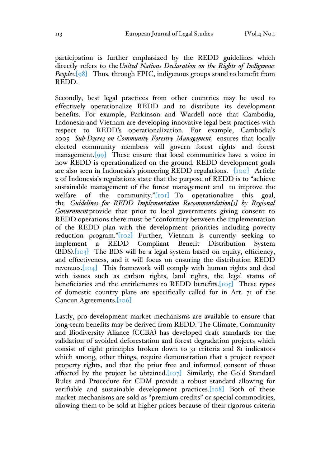participation is further emphasized by the REDD guidelines which directly refers to the*United Nations Declaration on the Rights of Indigenous Peoples*.[98] Thus, through FPIC, indigenous groups stand to benefit from REDD.

Secondly, best legal practices from other countries may be used to effectively operationalize REDD and to distribute its development benefits. For example, Parkinson and Wardell note that Cambodia, Indonesia and Vietnam are developing innovative legal best practices with respect to REDD's operationalization. For example, Cambodia's 2005 *Sub-Decree on Community Forestry Management* ensures that locally elected community members will govern forest rights and forest management.<sup>[99]</sup> These ensure that local communities have a voice in how REDD is operationalized on the ground. REDD development goals are also seen in Indonesia's pioneering REDD regulations. [100] Article 2 of Indonesia's regulations state that the purpose of REDD is to "achieve sustainable management of the forest management and to improve the welfare of the community." $\lceil \text{Io} \rceil$  To operationalize this goal, the *Guidelines for REDD Implementation Recommentdation[s] by Regional Government*provide that prior to local governments giving consent to REDD operations there must be "conformity between the implementation of the REDD plan with the development priorities including poverty reduction program."[102] Further, Vietnam is currently seeking to implement a REDD Compliant Benefit Distribution System  $(BDS)$ .  $[103]$  The BDS will be a legal system based on equity, efficiency, and effectiveness, and it will focus on ensuring the distribution REDD revenues.[104] This framework will comply with human rights and deal with issues such as carbon rights, land rights, the legal status of beneficiaries and the entitlements to REDD benefits. $[105]$  These types of domestic country plans are specifically called for in Art. 71 of the Cancun Agreements.[106]

Lastly, pro-development market mechanisms are available to ensure that long-term benefits may be derived from REDD. The Climate, Community and Biodiversity Aliance (CCBA) has developed draft standards for the validation of avoided deforestation and forest degradation projects which consist of eight principles broken down to 31 criteria and 81 indicators which among, other things, require demonstration that a project respect property rights, and that the prior free and informed consent of those affected by the project be obtained.  $[107]$  Similarly, the Gold Standard Rules and Procedure for CDM provide a robust standard allowing for verifiable and sustainable development practices.[108] Both of these market mechanisms are sold as "premium credits" or special commodities, allowing them to be sold at higher prices because of their rigorous criteria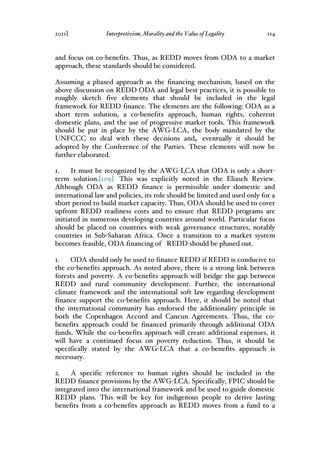and focus on co-benefits. Thus, as REDD moves from ODA to a market approach, these standards should be considered.

Assuming a phased approach as the financing mechanism, based on the above discussion on REDD ODA and legal best practices, it is possible to roughly sketch five elements that should be included in the legal framework for REDD finance. The elements are the following: ODA as a short term solution, a co-benefits approach, human rights, coherent domestic plans, and the use of progressive market tools. This framework should be put in place by the AWG-LCA, the body mandated by the UNFCCC to deal with these decisions and, eventually it should be adopted by the Conference of the Parties. These elements will now be further elaborated.

1. It must be recognized by the AWG-LCA that ODA is only a shortterm solution.[109] This was explicitly noted in the Eliasch Review. Although ODA as REDD finance is permissible under domestic and international law and policies, its role should be limited and used only for a short period to build market capacity. Thus, ODA should be used to cover upfront REDD readiness costs and to ensure that REDD programs are initiated in numerous developing countries around world. Particular focus should be placed on countries with weak governance structures, notably countries in Sub-Saharan Africa. Once a transition to a market system becomes feasible, ODA financing of REDD should be phased out.

1. ODA should only be used to finance REDD if REDD is conducive to the co-benefits approach. As noted above, there is a strong link between forests and poverty. A co-benefits approach will bridge the gap between REDD and rural community development. Further, the international climate framework and the international soft law regarding development finance support the co-benefits approach. Here, it should be noted that the international community has endorsed the additionality principle in both the Copenhagen Accord and Cancun Agreements. Thus, the cobenefits approach could be financed primarily through additional ODA funds. While the co-benefits approach will create additional expenses, it will have a continued focus on poverty reduction. Thus, it should be specifically stated by the AWG-LCA that a co-benefits approach is necessary.

2. A specific reference to human rights should be included in the REDD finance provisions by the AWG-LCA. Specifically, FPIC should be integrated into the international framework and be used to guide domestic REDD plans. This will be key for indigenous people to derive lasting benefits from a co-benefits approach as REDD moves from a fund to a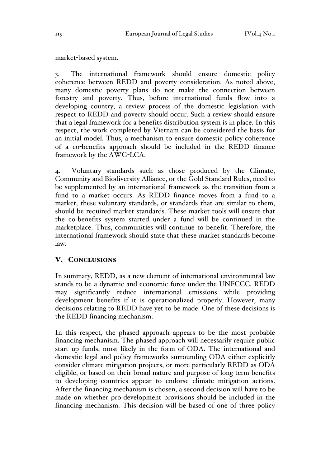market-based system.

3. The international framework should ensure domestic policy coherence between REDD and poverty consideration. As noted above, many domestic poverty plans do not make the connection between forestry and poverty. Thus, before international funds flow into a developing country, a review process of the domestic legislation with respect to REDD and poverty should occur. Such a review should ensure that a legal framework for a benefits distribution system is in place. In this respect, the work completed by Vietnam can be considered the basis for an initial model. Thus, a mechanism to ensure domestic policy coherence of a co-benefits approach should be included in the REDD finance framework by the AWG-LCA.

4. Voluntary standards such as those produced by the Climate, Community and Biodiversity Alliance, or the Gold Standard Rules, need to be supplemented by an international framework as the transition from a fund to a market occurs. As REDD finance moves from a fund to a market, these voluntary standards, or standards that are similar to them, should be required market standards. These market tools will ensure that the co-benefits system started under a fund will be continued in the marketplace. Thus, communities will continue to benefit. Therefore, the international framework should state that these market standards become law.

# V. CONCLUSIONS

In summary, REDD, as a new element of international environmental law stands to be a dynamic and economic force under the UNFCCC. REDD may significantly reduce international emissions while providing development benefits if it is operationalized properly. However, many decisions relating to REDD have yet to be made. One of these decisions is the REDD financing mechanism.

In this respect, the phased approach appears to be the most probable financing mechanism. The phased approach will necessarily require public start up funds, most likely in the form of ODA. The international and domestic legal and policy frameworks surrounding ODA either explicitly consider climate mitigation projects, or more particularly REDD as ODA eligible, or based on their broad nature and purpose of long term benefits to developing countries appear to endorse climate mitigation actions. After the financing mechanism is chosen, a second decision will have to be made on whether pro-development provisions should be included in the financing mechanism. This decision will be based of one of three policy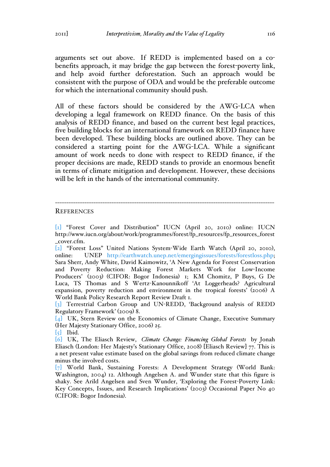arguments set out above. If REDD is implemented based on a cobenefits approach, it may bridge the gap between the forest-poverty link, and help avoid further deforestation. Such an approach would be consistent with the purpose of ODA and would be the preferable outcome for which the international community should push.

All of these factors should be considered by the AWG-LCA when developing a legal framework on REDD finance. On the basis of this analysis of REDD finance, and based on the current best legal practices, five building blocks for an international framework on REDD finance have been developed. These building blocks are outlined above. They can be considered a starting point for the AWG-LCA. While a significant amount of work needs to done with respect to REDD finance, if the proper decisions are made, REDD stands to provide an enormous benefit in terms of climate mitigation and development. However, these decisions will be left in the hands of the international community.

#### **REFERENCES**

[1] "Forest Cover and Distribution" IUCN (April 20, 2010) online: IUCN http://www.iucn.org/about/work/programmes/forest/fp\_resources/fp\_resources\_forest \_cover.cfm.

-------------------------------------------------------------------------------------------------

[2] "Forest Loss" United Nations System-Wide Earth Watch (April 20, 2010), online: UNEP http://earthwatch.unep.net/emergingissues/forests/forestloss.php; Sara Sherr, Andy White, David Kaimowitz, 'A New Agenda for Forest Conservation and Poverty Reduction: Making Forest Markets Work for Low-Income Producers' (2003) (CIFOR: Bogor Indonesia) 1; KM Chomitz, P Buys, G De Luca, TS Thomas and S Wertz-Kanounnikoff 'At Loggerheads? Agricultural expansion, poverty reduction and environment in the tropical forests' (2006) A World Bank Policy Research Report Review Draft 1.

[3] Terrestrial Carbon Group and UN-REDD, 'Background analysis of REDD Regulatory Framework' (2009) 8.

[4] UK, Stern Review on the Economics of Climate Change, Executive Summary (Her Majesty Stationary Office, 2006) 25.

 $\lbrack 5\rbrack$  Ibid.

[6] UK, The Eliasch Review, *Climate Change: Financing Global Forests* by Jonah Eliasch (London: Her Majesty's Stationary Office, 2008) [Eliasch Review] 77. This is a net present value estimate based on the global savings from reduced climate change minus the involved costs.

[7] World Bank, Sustaining Forests: A Development Strategy (World Bank: Washington, 2004) 12. Although Angelsen A. and Wunder state that this figure is shaky. See Arild Angelsen and Sven Wunder, 'Exploring the Forest-Poverty Link: Key Concepts, Issues, and Research Implications' (2003) Occasional Paper No 40 (CIFOR: Bogor Indonesia).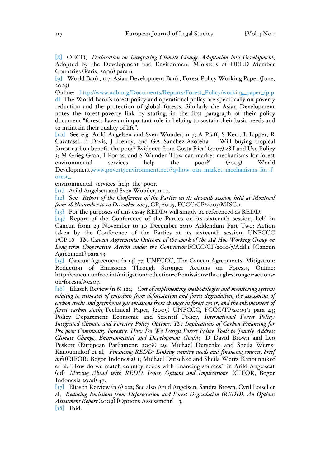[8] OECD, *Declaration on Integrating Climate Change Adaptation into Development*, Adopted by the Development and Environment Ministers of OECD Member Countries (Paris, 2006) para 6.

[9] World Bank, n 7; Asian Development Bank, Forest Policy Working Paper (June, 2003)

Online: http://www.adb.org/Documents/Reports/Forest\_Policy/working\_paper\_fp.p df. The World Bank's forest policy and operational policy are specifically on poverty reduction and the protection of global forests. Similarly the Asian Development notes the forest-poverty link by stating, in the first paragraph of their policy document "forests have an important role in helping to sustain their basic needs and to maintain their quality of life".

[10] See e.g. Arild Angelsen and Sven Wunder, n 7; A Pfaff, S Kerr, L Lipper, R Cavatassi, B Davis, J Hendy, and GA Sanchez-Azofeifa 'Will buying tropical forest carbon benefit the poor? Evidence from Costa Rica' (2007) 28 Land Use Policy 3; M Grieg-Gran, I Porras, and S Wunder 'How can market mechanisms for forest environmental services help the poor?' (2005) World Development,www.povertyenvironment.net/?q=how\_can\_market\_mechanisms\_for\_f orest\_

environmental\_services\_help\_the\_poor.

[11] Arild Angelsen and Sven Wunder, n 10.

[12] See *Report of the Conference of the Parties on its eleventh session, held at Montreal from 28 November to 10 December 2005*, CP, 2005, FCCC/CP/2005/MISC.1.

[13] For the purposes of this essay REDD+ will simply be referenced as REDD.

[14] Report of the Conference of the Parties on its sixteenth session, held in Cancun from 29 November to 10 December 2010 Addendum Part Two: Action taken by the Conference of the Parties at its sixteenth session, UNFCCC 1/CP.16 *The Cancun Agreements: Outcome of the work of the Ad Hoc Working Group on Long-term Cooperative Action under the Convention*FCCC/CP/2010/7/Add.1 [Cancun Agreement] para 73.

[15] Cancun Agreement (n 14) 77; UNFCCC, The Cancun Agreements, Mitigation: Reduction of Emissions Through Stronger Actions on Forests, Online: http://cancun.unfccc.int/mitigation/reduction-of-emissions-through-stronger-actionson-forests/#c207.

[16] Eliasch Review (n 6) 122; *Cost of implementing methodologies and monitoring systems relating to estimates of emissions from deforestation and forest degradation, the assessment of carbon stocks and greenhouse gas emissions from changes in forest cover, and the enhancement of forest carbon stocks,*Technical Paper, (2009) UNFCCC, FCCC/TP/2009/1 para 43; Policy Department Economic and Scientif Policy, *International Forest Policy: Integrated Climate and Forestry Policy Options. The Implications of Carbon Financing for Pro-poor Community Forestry: How Do We Design Forest Policy Tools to Jointly Address Climate Change, Environmental and Development Goals?*; D David Brown and Leo Peskett (European Parliament: 2008) 29; Michael Dutschke and Sheila Wertz-Kanounnikof et al, *Financing REDD: Linking country needs and financing sources, brief info* (CIFOR: Bogor Indonesia) 1; Michael Dutschke and Sheila Wertz-Kanounnikof et al, 'How do we match country needs with financing sources?' in Arild Angelseat (ed) *Moving Ahead with REDD: Issues, Options and Implications* (CIFOR, Bogor Indonesia 2008) 47.

[17] Eliasch Reiview (n 6) 222; See also Arild Angelsen, Sandra Brown, Cyril Loisel et al, *Reducing Emissions from Deforestation and Forest Degradation (REDD): An Options Assessment Report*(2009) [Options Assessment] 3. [18] Ibid.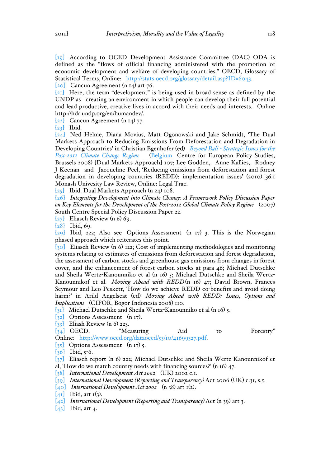[19] According to OCED Development Assistance Committee (DAC) ODA is defined as the "flows of official financing administered with the promotion of economic development and welfare of developing countries." OECD, Glossary of Statistical Terms, Online: http://stats.oecd.org/glossary/detail.asp?ID=6043.

[20] Cancun Agreement (n 14) art 76.

[21] Here, the term "development" is being used in broad sense as defined by the UNDP as creating an environment in which people can develop their full potential and lead productive, creative lives in accord with their needs and interests. Online http://hdr.undp.org/en/humandev/.

[22] Cancun Agreement (n 14) 77.

 $[23]$  Ibid.

[24] Ned Helme, Diana Movius, Matt Ogonowski and Jake Schmidt, 'The Dual Markets Approach to Reducing Emissions From Deforestation and Degradation in Developing Countries' in Christian Egenhofer (ed) *Beyond Bali - Strategic Issues for the Post-2012 Climate Change Regime* (Belgium Centre for European Policy Studies, Brussels 2008) [Dual Markets Approach] 107; Lee Godden, Anne Kallies, Rodney J Keenan and Jacqueline Peel, 'Reducing emissions from deforestation and forest degradation in developing countries (REDD): implementation issues' (2010) 36.1 Monash Univesity Law Review, Online: Legal Trac.

[25] Ibid. Dual Markets Approach (n 24) 108.

[26] *Integrating Development into Climate Change: A Framework Policy Discussion Paper on Key Elements for the Development of the Post-2012 Global Climate Policy Regime* (2007) South Centre Special Policy Discussion Paper 22.

 $\lbrack 27\rbrack$  Eliasch Review (n 6) 69.

[28] Ibid, 69.

[29] Ibid, 222; Also see Options Assessment (n  $17$ ) 3. This is the Norwegian phased approach which reiterates this point.

[30] Eliasch Review (n 6) 122; Cost of implementing methodologies and monitoring systems relating to estimates of emissions from deforestation and forest degradation, the assessment of carbon stocks and greenhouse gas emissions from changes in forest cover, and the enhancement of forest carbon stocks at para 46; Michael Dutschke and Sheila Wertz-Kanounniko et al (n 16) 5; Michael Dutschke and Sheila Wertz-Kanounnikof et al. *Moving Ahead with REDD*(n 16) 47; David Brown, Frances Seymour and Leo Peskett, 'How do we achieve REDD co-benefits and avoid doing harm?' in Arild Angelseat (ed) *Moving Ahead with REDD: Issues, Options and Implications* (CIFOR, Bogor Indonesia 2008) 110.

[31] Michael Dutschke and Sheila Wertz-Kanounniko et al (n 16) 5.

[32] Options Assessment (n 17).

[33] Eliash Review (n 6) 223.

[34] OECD, "Measuring Aid to Forestry"

Online: http://www.oecd.org/dataoecd/53/10/41699327.pdf.

 $\begin{bmatrix} 35 \end{bmatrix}$  Options Assessment (n 17) 5.

 $[36]$  Ibid,  $5-6$ .

[37] Eliasch report (n 6) 222; Michael Dutschke and Sheila Wertz-Kanounnikof et al, 'How do we match country needs with financing sources?' (n 16) 47.

[38] *International Development Act 2002* (UK) 2002 c.1.

[39] *International Development (Reporting and Transparency)*Act 2006 (UK) c.31, s.5.

[40] *International Development Act 2002* (n 38) art 1(2).

 $[41]$  Ibid, art  $I(3)$ .

[42] *International Development (Reporting and Transparency)*Act (n 39) art 3.

 $[43]$  Ibid, art 4.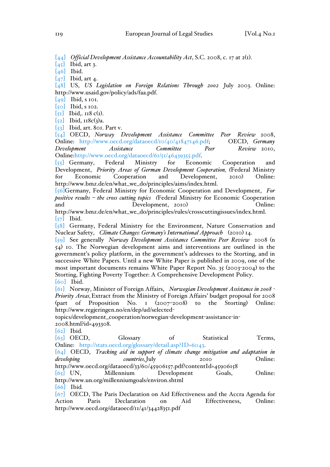[44] *Official Development Assistance Accountability Act*, S.C. 2008, c. 17 at 2(1).

 $\begin{bmatrix} 45 \end{bmatrix}$  Ibid, art 3.

 $\begin{bmatrix} 46 \end{bmatrix}$  Ibid.

[47] Ibid, art 4.

[48] US, *US Legislation on Foreign Relations Through 2002* July 2003. Online: http://www.usaid.gov/policy/ads/faa.pdf.

 $[49]$  Ibid, s 101.

[50] Ibid, s 102.

 $\lbrack 51\rbrack$  Ibid.. 118 c(1).

 $\overline{[52]}$  Ibid,  $\overline{118c(3)}a$ .

[53] Ibid, art. 801. Part v.

[54] OECD, *Norway Development Assistance Committee Peer Review* 2008, Online: http://www.oecd.org/dataoecd/10/40/41847146.pdf; OECD, *Germany Development Assistance Committee Peer Review* 2010, Online:http://www.oecd.org/dataoecd/61/51/46439355.pdf.

[55] Germany, Federal Ministry for Economic Cooperation and Development, *Priority Areas of German Development Cooperation, (*Federal Ministry for Economic Cooperation and Development, 2010) Online: http://www.bmz.de/en/what\_we\_do/principles/aims/index.html.

[56]Germany, Federal Ministry for Economic Cooperation and Development, *For positive results – the cross cutting topics* (Federal Ministry for Economic Cooperation and Development, 2010) Online: and Development, 2010)

http://www.bmz.de/en/what\_we\_do/principles/rules/crosscuttingissues/index.html.  $\lbrack 57\rbrack$  Ibid.

[58] Germany, Federal Ministry for the Environment, Nature Conservation and Nuclear Safety, *Climate Changes: Germany's International Approach* (2010) 14.

[59] See generally *Norway Development Assistance Committee Peer Review* 2008 (n 54) 10. The Norwegian development aims and interventions are outlined in the government's policy platform, in the government's addresses to the Storting, and in successive White Papers. Until a new White Paper is published in 2009, one of the most important documents remains White Paper Report No. 35 (2003-2004) to the Storting, Fighting Poverty Together: A Comprehensive Development Policy.

[60] Ibid.

[61] Norway, Minister of Foreign Affairs, *Norwegian Development Assistance in 2008 - Priority Areas,*Extract from the Ministry of Foreign Affairs' budget proposal for 2008 (part of Proposition No. 1 (2007–2008) to the Storting) Online: http://www.regjeringen.no/en/dep/ud/selected-

topics/development\_cooperation/norwegian-development-assistance-in-2008.html?id=493308.

[62] Ibid*.*

[63] OECD, Glossary of Statistical Terms, Online: http://stats.oecd.org/glossary/detail.asp?ID=6043.

[64] OECD, *Tracking aid in support of climate change mitigation and adaptation in developing countries,*July 2010 Online:

http://www.oecd.org/dataoecd/33/60/45906157.pdf?contentId=45906158 [65] UN, Millennium Development Goals, Online: http://www.un.org/millenniumgoals/environ.shtml

[66] Ibid*.*

[67] OECD, The Paris Declaration on Aid Effectiveness and the Accra Agenda for Action Paris Declaration on Aid Effectiveness, Online: http://www.oecd.org/dataoecd/11/41/34428351.pdf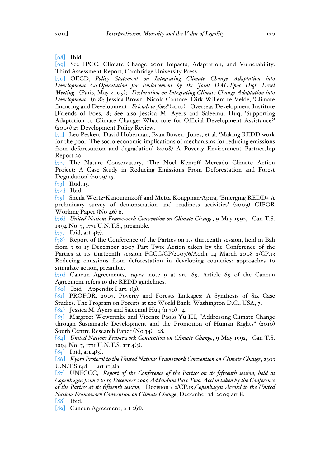[68] Ibid.

[69] See IPCC, Climate Change 2001 Impacts, Adaptation, and Vulnerability. Third Assessment Report, Cambridge University Press.

[70] OECD, *Policy Statement on Integrating Climate Change Adaptation into Development Co-Operatation for Endorsement by the Joint DAC-Epoc High Level Meeting* (Paris, May 2009); *Declaration on Integrating Climate Change Adaptation into Development* (n 8); Jessica Brown, Nicola Cantore, Dirk Willem te Velde, 'Climate financing and Development *Friends or foes?'*(2010) Overseas Development Institute [Friends of Foes] 8; See also Jessica M. Ayers and Saleemul Huq, 'Supporting Adaptation to Climate Change: What role for Official Development Assistance?' (2009) 27 Development Policy Review.

[71] Leo Peskett, David Huberman, Evan Bowen- Jones, et al. 'Making REDD work for the poor: The socio-economic implications of mechanisms for reducing emissions from deforestation and degradation' (2008) A Poverty Environment Partnership Report 20.

[72] The Nature Conservatory, 'The Noel Kempff Mercado Climate Action Project: A Case Study in Reducing Emissions From Deforestation and Forest Degradation' (2009) 15.

 $[73]$  Ibid, 15.

 $\begin{bmatrix} 74 \end{bmatrix}$  Ibid.

[75] Sheila Wertz-Kanounnikoff and Metta Kongphan-Apira, 'Emerging REDD+ A preliminary survey of demonstration and readiness activities' (2009) CIFOR Working Paper (No 46) 6.

[76] *United Nations Framework Convention on Climate Change*, 9 May 1992, Can T.S. 1994 No. 7, 1771 U.N.T.S., preamble.

 $[77]$  Ibid, art  $4(7)$ .

[78] Report of the Conference of the Parties on its thirteenth session, held in Bali from 3 to 15 December 2007 Part Two: Action taken by the Conference of the Parties at its thirteenth session FCCC/CP/2007/6/Add.1 14 March 2008 2/CP.13 Reducing emissions from deforestation in developing countries: approaches to stimulate action, preamble.

[79] Cancun Agreements, *supra* note 9 at art. 69. Article 69 of the Cancun Agreement refers to the REDD guidelines.

 $[80]$  Ibid, Appendix I art.  $I(g)$ .

[81] PROFOR. 2007. Poverty and Forests Linkages: A Synthesis of Six Case Studies. The Program on Forests at the World Bank. Washington D.C., USA, 7.

[82] Jessica M. Ayers and Saleemul Huq (n 70) 4.

[83] Margreet Wewerinke and Vicente Paolo Yu III, "Addressing Climate Change through Sustainable Development and the Promotion of Human Rights" (2010) South Centre Research Paper (No 34) 28.

[84] *United Nations Framework Convention on Climate Change*, 9 May 1992, Can T.S. 1994 No. 7, 1771 U.N.T.S. art 4(3).

 $[85]$  Ibid, art  $4(3)$ .

[86] *Kyoto Protocol to the United Nations Framework Convention on Climate Change*, 2303 U.N.T.S  $148$  art  $11(2)a$ .

[87] UNFCCC, *Report of the Conference of the Parties on its fifteenth session, held in Copenhagen from 7 to 19 December 2009 Addendum Part Two: Action taken by the Conference of the Parties at its fifteenth session*, Decision-/ 2/CP.15,*Copenhagen Accord to the United Nations Framework Convention on Climate Change*, December 18, 2009 art 8. [88] Ibid.

[89] Cancun Agreement, art 2(d).